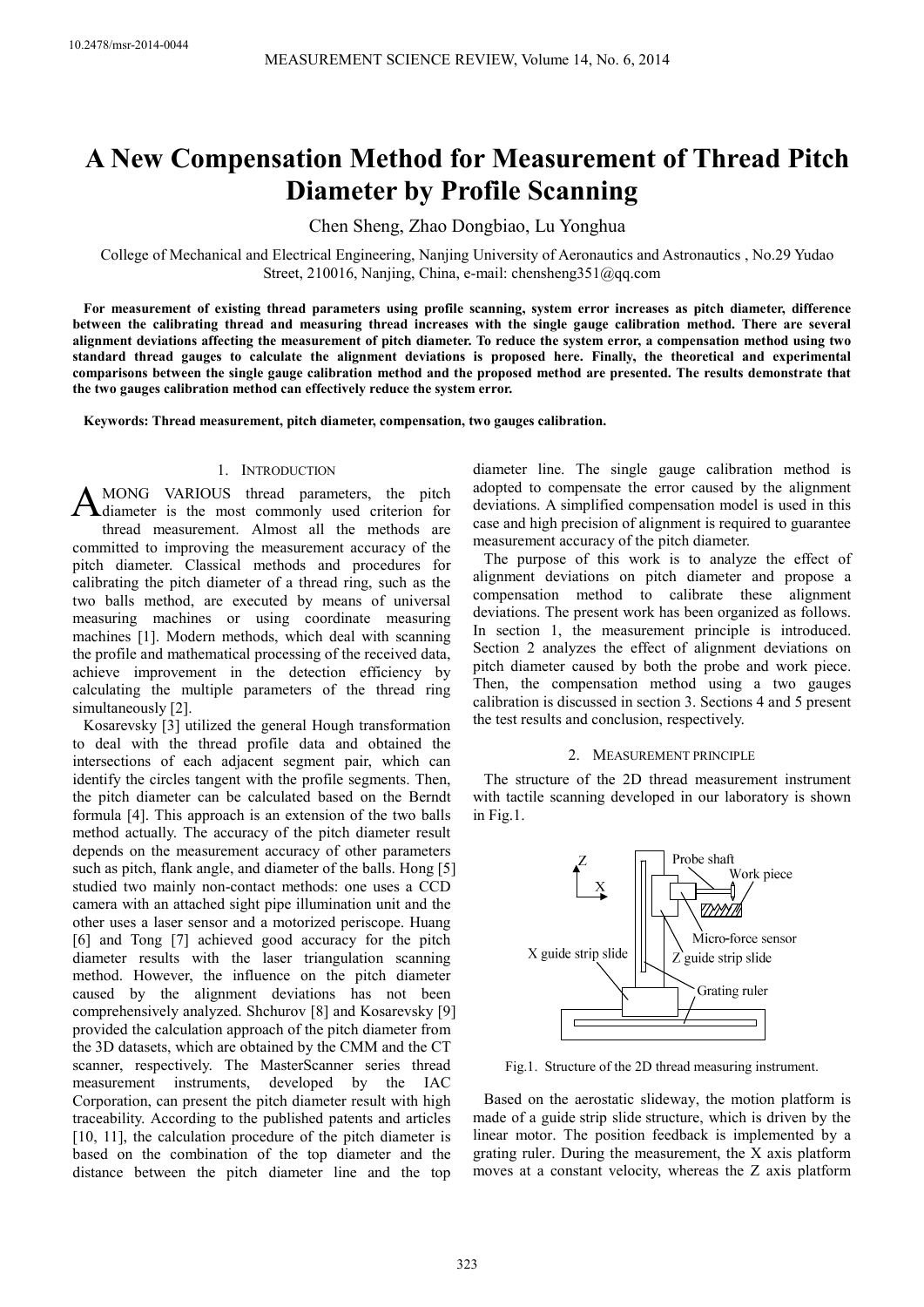# **A New Compensation Method for Measurement of Thread Pitch Diameter by Profile Scanning**

Chen Sheng, Zhao Dongbiao, Lu Yonghua

College of Mechanical and Electrical Engineering, Nanjing University of Aeronautics and Astronautics , No.29 Yudao Street, 210016, Nanjing, China, e-mail: chensheng351@qq.com

**For measurement of existing thread parameters using profile scanning, system error increases as pitch diameter, difference between the calibrating thread and measuring thread increases with the single gauge calibration method. There are several alignment deviations affecting the measurement of pitch diameter. To reduce the system error, a compensation method using two standard thread gauges to calculate the alignment deviations is proposed here. Finally, the theoretical and experimental comparisons between the single gauge calibration method and the proposed method are presented. The results demonstrate that the two gauges calibration method can effectively reduce the system error.** 

**Keywords: Thread measurement, pitch diameter, compensation, two gauges calibration.** 

# 1. INTRODUCTION

MONG VARIOUS thread parameters, the pitch diameter is the most commonly used criterion for thread measurement. Almost all the methods are committed to improving the measurement accuracy of the pitch diameter. Classical methods and procedures for calibrating the pitch diameter of a thread ring, such as the two balls method, are executed by means of universal measuring machines or using coordinate measuring machines [1]. Modern methods, which deal with scanning the profile and mathematical processing of the received data, achieve improvement in the detection efficiency by calculating the multiple parameters of the thread ring simultaneously [2]. A

Kosarevsky [3] utilized the general Hough transformation to deal with the thread profile data and obtained the intersections of each adjacent segment pair, which can identify the circles tangent with the profile segments. Then, the pitch diameter can be calculated based on the Berndt formula [4]. This approach is an extension of the two balls method actually. The accuracy of the pitch diameter result depends on the measurement accuracy of other parameters such as pitch, flank angle, and diameter of the balls. Hong [5] studied two mainly non-contact methods: one uses a CCD camera with an attached sight pipe illumination unit and the other uses a laser sensor and a motorized periscope. Huang [6] and Tong [7] achieved good accuracy for the pitch diameter results with the laser triangulation scanning method. However, the influence on the pitch diameter caused by the alignment deviations has not been comprehensively analyzed. Shchurov [8] and Kosarevsky [9] provided the calculation approach of the pitch diameter from the 3D datasets, which are obtained by the CMM and the CT scanner, respectively. The MasterScanner series thread measurement instruments, developed by the IAC Corporation, can present the pitch diameter result with high traceability. According to the published patents and articles [10, 11], the calculation procedure of the pitch diameter is based on the combination of the top diameter and the distance between the pitch diameter line and the top

diameter line. The single gauge calibration method is adopted to compensate the error caused by the alignment deviations. A simplified compensation model is used in this case and high precision of alignment is required to guarantee measurement accuracy of the pitch diameter.

The purpose of this work is to analyze the effect of alignment deviations on pitch diameter and propose a compensation method to calibrate these alignment deviations. The present work has been organized as follows. In section 1, the measurement principle is introduced. Section 2 analyzes the effect of alignment deviations on pitch diameter caused by both the probe and work piece. Then, the compensation method using a two gauges calibration is discussed in section 3. Sections 4 and 5 present the test results and conclusion, respectively.

# 2. MEASUREMENT PRINCIPLE

The structure of the 2D thread measurement instrument with tactile scanning developed in our laboratory is shown in Fig.1.



Fig.1. Structure of the 2D thread measuring instrument.

Based on the aerostatic slideway, the motion platform is made of a guide strip slide structure, which is driven by the linear motor. The position feedback is implemented by a grating ruler. During the measurement, the X axis platform moves at a constant velocity, whereas the Z axis platform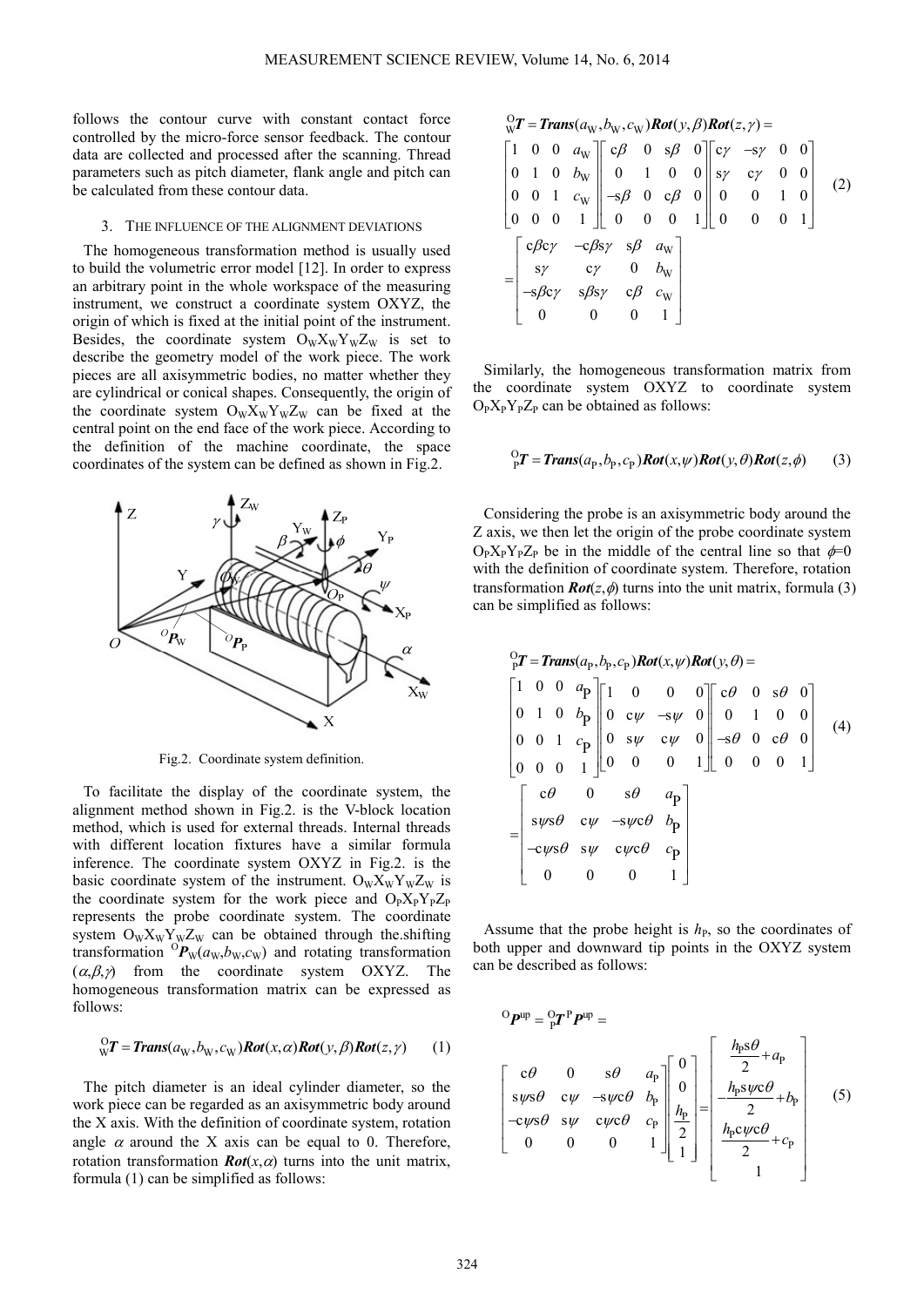follows the contour curve with constant contact force controlled by the micro-force sensor feedback. The contour data are collected and processed after the scanning. Thread parameters such as pitch diameter, flank angle and pitch can be calculated from these contour data.

### 3. THE INFLUENCE OF THE ALIGNMENT DEVIATIONS

The homogeneous transformation method is usually used to build the volumetric error model [12]. In order to express an arbitrary point in the whole workspace of the measuring instrument, we construct a coordinate system OXYZ, the origin of which is fixed at the initial point of the instrument. Besides, the coordinate system  $O_WX_WY_WZ_W$  is set to describe the geometry model of the work piece. The work pieces are all axisymmetric bodies, no matter whether they are cylindrical or conical shapes. Consequently, the origin of the coordinate system  $O_WX_WY_WZ_W$  can be fixed at the central point on the end face of the work piece. According to the definition of the machine coordinate, the space coordinates of the system can be defined as shown in Fig.2.



Fig.2. Coordinate system definition.

To facilitate the display of the coordinate system, the alignment method shown in Fig.2. is the V-block location method, which is used for external threads. Internal threads with different location fixtures have a similar formula inference. The coordinate system OXYZ in Fig.2. is the basic coordinate system of the instrument.  $O_wX_wY_wZ_w$  is the coordinate system for the work piece and  $O_PX_PY_PZ_P$ represents the probe coordinate system. The coordinate system  $O_W X_W Y_W Z_W$  can be obtained through the shifting transformation  ${}^{0}P_{W}(a_{W},b_{W},c_{W})$  and rotating transformation  $(\alpha, \beta, \gamma)$  from the coordinate system OXYZ. The homogeneous transformation matrix can be expressed as follows:

$$
{}^{O}_{W}T = Trans(a_{W}, b_{W}, c_{W})Rot(x, \alpha)Rot(y, \beta)Rot(z, \gamma)
$$
 (1)

The pitch diameter is an ideal cylinder diameter, so the work piece can be regarded as an axisymmetric body around the X axis. With the definition of coordinate system, rotation angle  $\alpha$  around the X axis can be equal to 0. Therefore, rotation transformation  $Rot(x, \alpha)$  turns into the unit matrix, formula (1) can be simplified as follows:

$$
\begin{aligned}\n&\frac{0}{W}T = \text{Trans}(a_{W}, b_{W}, c_{W}) \text{Rot}(y, \beta) \text{Rot}(z, \gamma) = \\
& \begin{bmatrix}\n1 & 0 & 0 & a_{W} \\
0 & 1 & 0 & b_{W} \\
0 & 0 & 1 & c_{W} \\
0 & 0 & 0 & 1\n\end{bmatrix}\n\begin{bmatrix}\nc\beta & 0 & s\beta & 0 \\
0 & 1 & 0 & 0 \\
-s\beta & 0 & c\beta & 0 \\
0 & 0 & 0 & 1\n\end{bmatrix}\n\begin{bmatrix}\nc\gamma & -s\gamma & 0 & 0 \\
s\gamma & c\gamma & 0 & 0 \\
0 & 0 & 0 & 1\n\end{bmatrix} \\
&= \begin{bmatrix}\nc\beta c\gamma & -c\beta s\gamma & s\beta & a_{W} \\
-s\beta c\gamma & s\beta s\gamma & c\beta & c_{W} \\
0 & 0 & 0 & 1\n\end{bmatrix}\n\end{aligned} (2)
$$

Similarly, the homogeneous transformation matrix from the coordinate system OXYZ to coordinate system  $O_PX_PY_PZ_P$  can be obtained as follows:

$$
{}^{O}_{P}T = Trans(a_{P}, b_{P}, c_{P})Rot(x, \psi)Rot(y, \theta)Rot(z, \phi)
$$
 (3)

Considering the probe is an axisymmetric body around the Z axis, we then let the origin of the probe coordinate system  $O_P X_P Y_P Z_P$  be in the middle of the central line so that  $\phi=0$ with the definition of coordinate system. Therefore, rotation transformation  $\text{Rot}(z, \phi)$  turns into the unit matrix, formula (3) can be simplified as follows:

$$
\begin{bmatrix}\n0 & P \\
0 & P\n\end{bmatrix} = \text{Trans}(a_p, b_p, c_p) \text{Rot}(x, \psi) \text{Rot}(y, \theta) =
$$
\n
$$
\begin{bmatrix}\n1 & 0 & 0 & a_p \\
0 & 1 & 0 & b_p \\
0 & 0 & \psi & -s\psi & 0 \\
0 & 0 & 1 & c_p \\
0 & 0 & 0 & 1\n\end{bmatrix}\n\begin{bmatrix}\n1 & 0 & 0 & 0 \\
0 & c\psi & -s\psi & 0 \\
0 & s\psi & c\psi & 0 \\
0 & 0 & 0 & 1\n\end{bmatrix} \xrightarrow{-s\theta} \begin{bmatrix}\n\cos \theta & 0 & 0 \\
0 & 1 & 0 & 0 \\
0 & 0 & 0 & 1\n\end{bmatrix} \tag{4}
$$
\n
$$
= \begin{bmatrix}\n\cos \theta & 0 & s\theta & a_p \\
s\psi s\theta & c\psi & -s\psi c\theta & b_p \\
-c\psi s\theta & s\psi & c\psi c\theta & c_p \\
0 & 0 & 0 & 1\n\end{bmatrix}
$$

Assume that the probe height is  $h_{\rm P}$ , so the coordinates of both upper and downward tip points in the OXYZ system can be described as follows:

$$
{}^{O}\mathbf{P}^{\text{up}} = {}^{O}\mathbf{r}^{\text{p}}\mathbf{P}^{\text{up}} =
$$
  
\n
$$
\begin{bmatrix} c\theta & 0 & s\theta & a_{\text{p}} \\ sys\theta & c\psi & -s\psi c\theta & b_{\text{p}} \\ -cys\theta & sy & c\psi c\theta & c_{\text{p}} \\ 0 & 0 & 0 & 1 \end{bmatrix} \begin{bmatrix} 0 \\ 0 \\ \frac{h_{\text{p}}}{2} \\ 1 \end{bmatrix} = \begin{bmatrix} \frac{h_{\text{p}}s\theta}{2} + a_{\text{p}} \\ -\frac{h_{\text{p}}s\psi c\theta}{2} + b_{\text{p}} \\ \frac{h_{\text{p}}c\psi c\theta}{2} + c_{\text{p}} \\ 1 \end{bmatrix}
$$
 (5)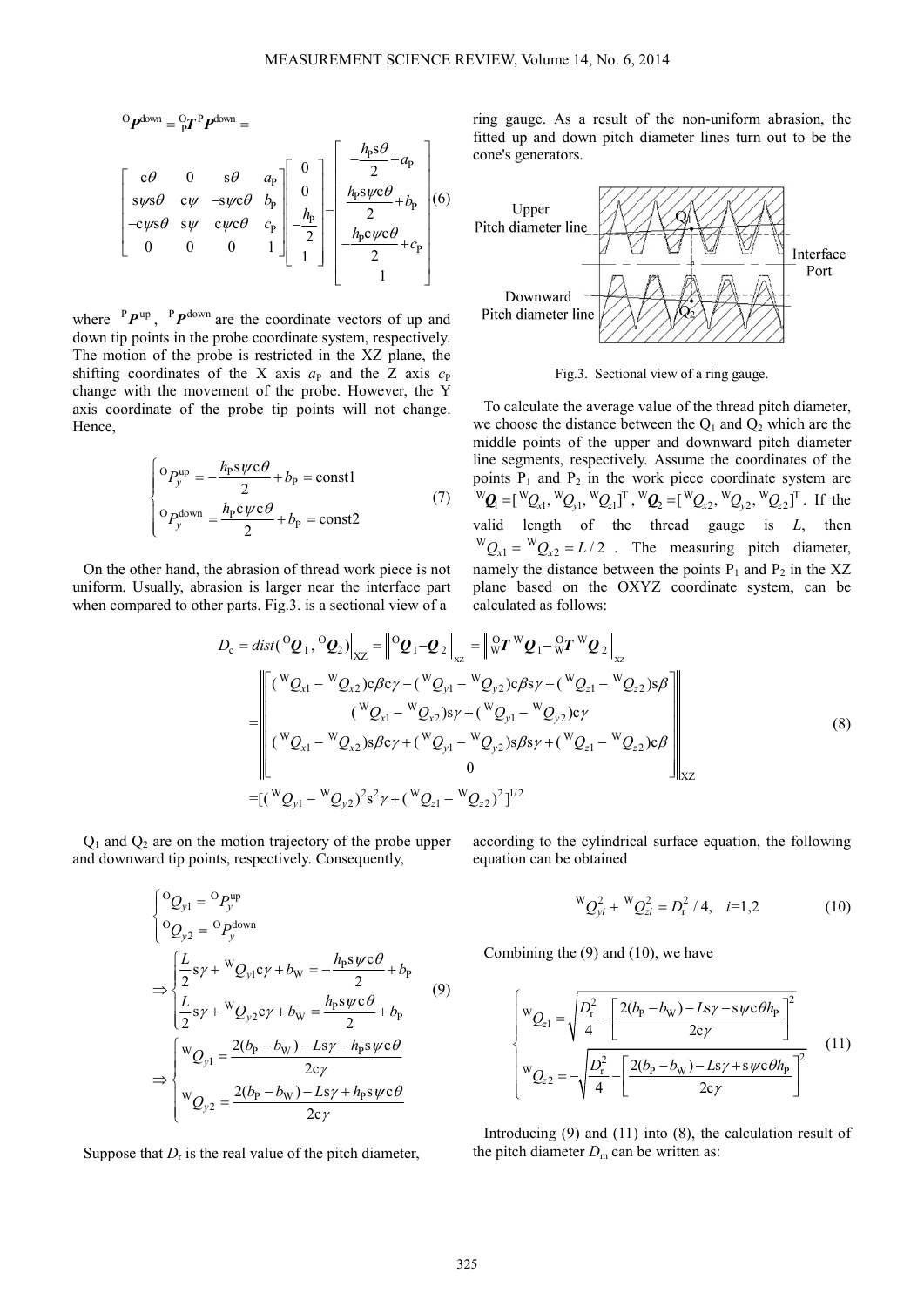$$
{}^{O}P^{\text{down}} = {}^{O}_{P}T^{P}P^{\text{down}} =
$$
\n
$$
\begin{bmatrix}\nc\theta & 0 & s\theta & a_{p} \\
sys\theta & cy & -syc\theta & b_{p} \\
-c\psi s\theta & sy & c\psi c\theta & c_{p} \\
0 & 0 & 0 & 1\n\end{bmatrix} \begin{bmatrix}\n0 \\
0 \\
h_{p} \\
0 \\
0\n\end{bmatrix} = \begin{bmatrix}\n-\frac{h_{p}s\theta}{2} + a_{p} \\
\frac{h_{p}s\psi c\theta}{2} + b_{p} \\
0 \\
-\frac{h_{p}c\psi c\theta}{2} + c_{p} \\
1\n\end{bmatrix} (6)
$$

where  $P P^{up}$ ,  $P P^{down}$  are the coordinate vectors of up and down tip points in the probe coordinate system, respectively. The motion of the probe is restricted in the XZ plane, the shifting coordinates of the X axis  $a_P$  and the Z axis  $c_P$ change with the movement of the probe. However, the Y axis coordinate of the probe tip points will not change. Hence,

$$
\begin{cases}\n\text{O}_{p}^{\text{up}} = -\frac{h_{\text{p}} s \psi c \theta}{2} + b_{\text{p}} = \text{const1} \\
\text{O}_{p}^{\text{down}} = \frac{h_{\text{p}} c \psi c \theta}{2} + b_{\text{p}} = \text{const2}\n\end{cases}
$$
\n(7)

On the other hand, the abrasion of thread work piece is not uniform. Usually, abrasion is larger near the interface part when compared to other parts. Fig.3, is a sectional view of a

ring gauge. As a result of the non-uniform abrasion, the fitted up and down pitch diameter lines turn out to be the cone's generators.



Fig.3. Sectional view of a ring gauge.

To calculate the average value of the thread pitch diameter, we choose the distance between the  $Q_1$  and  $Q_2$  which are the middle points of the upper and downward pitch diameter line segments, respectively. Assume the coordinates of the points  $P_1$  and  $P_2$  in the work piece coordinate system are  ${}^{\mathbf{W}}\mathbf{Q}_1 = [{}^{\mathbf{W}}\mathbf{Q}_{x1}, {}^{\mathbf{W}}\mathbf{Q}_{y1}, {}^{\mathbf{W}}\mathbf{Q}_{z1}]^{\mathbf{T}}, {}^{\mathbf{W}}\mathbf{Q}_2 = [{}^{\mathbf{W}}\mathbf{Q}_{x2}, {}^{\mathbf{W}}\mathbf{Q}_{y2}, {}^{\mathbf{W}}\mathbf{Q}_{z2}]^{\mathbf{T}}$ . If the valid length of the thread gauge is *L*, then  ${}^WQ_{x1} = {}^WQ_{x2} = L/2$ . The measuring pitch diameter, namely the distance between the points  $P_1$  and  $P_2$  in the XZ plane based on the OXYZ coordinate system, can be calculated as follows:

$$
D_{c} = dist(^{O}Q_{1}, {}^{O}Q_{2})|_{XZ} = ||{}^{O}Q_{1} - Q_{2}||_{XZ} = ||{}^{O}_{W}T^{W}Q_{1} - {}^{O}_{W}T^{W}Q_{2}||_{XZ}
$$
  
\n
$$
= ||{}^{V}Q_{x1} - {}^{W}Q_{x2})c\beta c\gamma - ({}^{W}Q_{y1} - {}^{W}Q_{y2})c\beta s\gamma + ({}^{W}Q_{z1} - {}^{W}Q_{z2})s\beta
$$
  
\n
$$
({}^{W}Q_{x1} - {}^{W}Q_{x2})s\beta c\gamma + ({}^{W}Q_{y1} - {}^{W}Q_{y2})c\gamma
$$
  
\n
$$
({}^{W}Q_{x1} - {}^{W}Q_{x2})s\beta c\gamma + ({}^{W}Q_{y1} - {}^{W}Q_{y2})s\beta s\gamma + ({}^{W}Q_{z1} - {}^{W}Q_{z2})c\beta
$$
  
\n
$$
= [({}^{W}Q_{y1} - {}^{W}Q_{y2})^{2}s^{2}\gamma + ({}^{W}Q_{z1} - {}^{W}Q_{z2})^{2}]^{1/2}
$$
\n(8)

 $Q_1$  and  $Q_2$  are on the motion trajectory of the probe upper and downward tip points, respectively. Consequently,

$$
\begin{cases}\n^{0}Q_{y1} = {}^{0}P_{y}^{\text{up}} \\
^{0}Q_{y2} = {}^{0}P_{y}^{\text{down}}\n\end{cases}
$$
\n
$$
\Rightarrow \begin{cases}\n\frac{L}{2}s_{\gamma} + {}^{W}Q_{y1}c_{\gamma} + b_{W} = -\frac{h_{P}s_{\gamma}c\theta}{2} + b_{P} \\
\frac{L}{2}s_{\gamma} + {}^{W}Q_{y2}c_{\gamma} + b_{W} = \frac{h_{P}s_{\gamma}c\theta}{2} + b_{P} \\
^{W}Q_{y1} = \frac{2(b_{P} - b_{W}) - Ls_{\gamma} - h_{P}s_{\gamma}c\theta}{2c_{\gamma}}\n\end{cases}
$$
\n
$$
\Rightarrow \begin{cases}\n^{W}Q_{y1} = \frac{2(b_{P} - b_{W}) - Ls_{\gamma} - h_{P}s_{\gamma}c\theta}{2c_{\gamma}} \\
^{W}Q_{y2} = \frac{2(b_{P} - b_{W}) - Ls_{\gamma} + h_{P}s_{\gamma}c\theta}{2c_{\gamma}}\n\end{cases}
$$

Suppose that  $D_r$  is the real value of the pitch diameter,

according to the cylindrical surface equation, the following equation can be obtained

$$
{}^{W}Q_{yi}^{2} + {}^{W}Q_{zi}^{2} = D_{r}^{2} / 4, \quad i=1,2
$$
 (10)

Combining the (9) and (10), we have

$$
\begin{cases}\n\mathbf{w}_{Q_{z1}} = \sqrt{\frac{D_{\rm r}^2}{4} - \left[\frac{2(b_{\rm p} - b_{\rm w}) - L s \gamma - s \psi \mathbf{c} \theta h_{\rm p}}{2c \gamma}\right]^2} \\
\mathbf{w}_{Q_{z2}} = -\sqrt{\frac{D_{\rm r}^2}{4} - \left[\frac{2(b_{\rm p} - b_{\rm w}) - L s \gamma + s \psi \mathbf{c} \theta h_{\rm p}}{2c \gamma}\right]^2}\n\end{cases}
$$
\n(11)

Introducing (9) and (11) into (8), the calculation result of the pitch diameter  $D_m$  can be written as: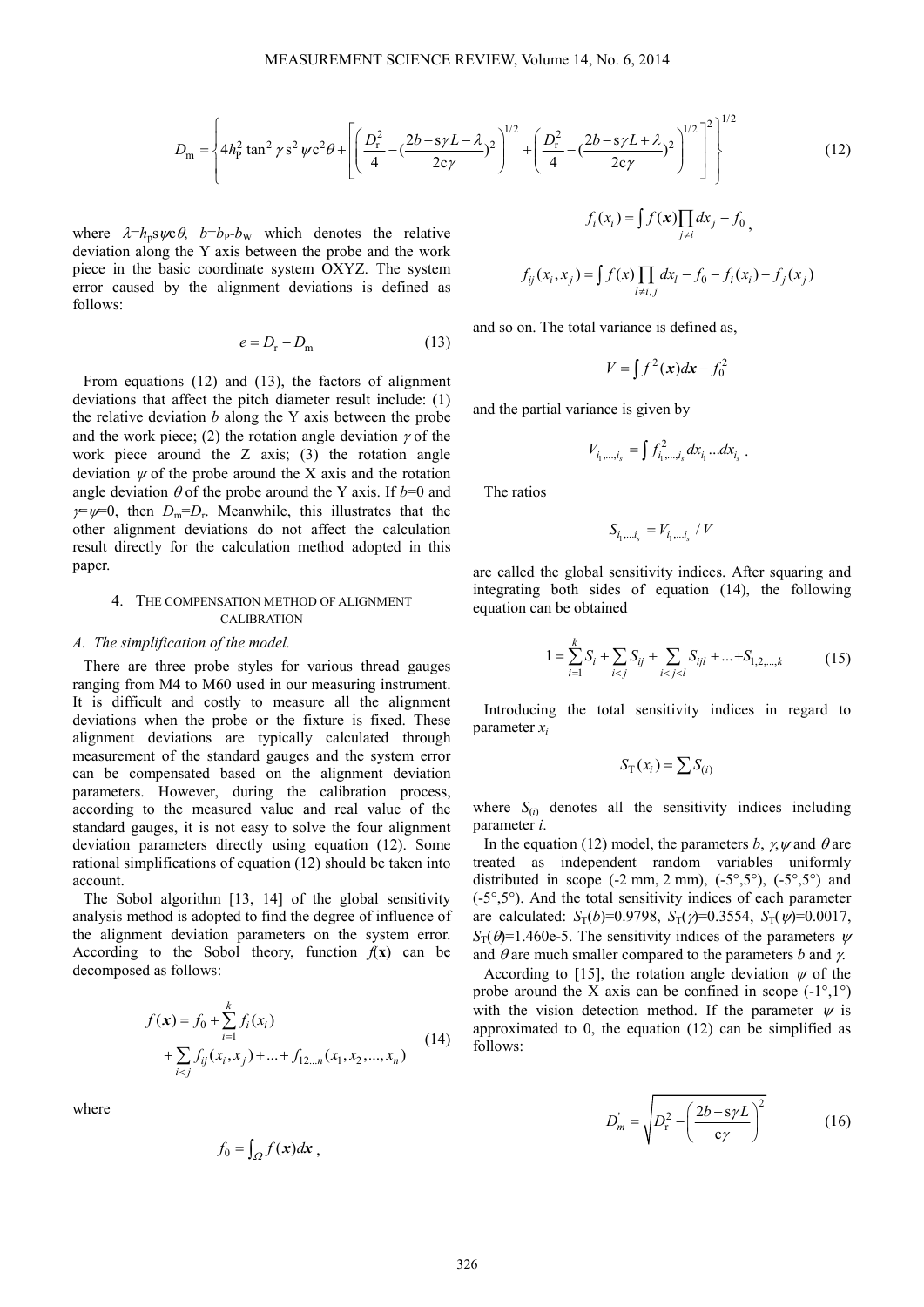$$
D_{\rm m} = \left\{ 4h_{\rm p}^2 \tan^2 \gamma s^2 \psi c^2 \theta + \left[ \left( \frac{D_{\rm r}^2}{4} - \left( \frac{2b - s\gamma L - \lambda}{2c\gamma} \right)^2 \right)^{1/2} + \left( \frac{D_{\rm r}^2}{4} - \left( \frac{2b - s\gamma L + \lambda}{2c\gamma} \right)^2 \right)^{1/2} \right]^2 \right\}^{1/2}
$$
(12)

where  $\lambda = h_p s \psi c \theta$ ,  $b = b_p b_w$  which denotes the relative deviation along the Y axis between the probe and the work piece in the basic coordinate system OXYZ. The system error caused by the alignment deviations is defined as follows:

$$
e = D_{\rm r} - D_{\rm m} \tag{13}
$$

From equations (12) and (13), the factors of alignment deviations that affect the pitch diameter result include: (1) the relative deviation *b* along the Y axis between the probe and the work piece; (2) the rotation angle deviation  $\gamma$  of the work piece around the Z axis; (3) the rotation angle deviation  $\psi$  of the probe around the X axis and the rotation angle deviation  $\theta$  of the probe around the Y axis. If  $b=0$  and  $\gamma = \psi = 0$ , then  $D_m = D_r$ . Meanwhile, this illustrates that the other alignment deviations do not affect the calculation result directly for the calculation method adopted in this paper.

# 4. THE COMPENSATION METHOD OF ALIGNMENT CALIBRATION

#### *A. The simplification of the model.*

There are three probe styles for various thread gauges ranging from M4 to M60 used in our measuring instrument. It is difficult and costly to measure all the alignment deviations when the probe or the fixture is fixed. These alignment deviations are typically calculated through measurement of the standard gauges and the system error can be compensated based on the alignment deviation parameters. However, during the calibration process, according to the measured value and real value of the standard gauges, it is not easy to solve the four alignment deviation parameters directly using equation (12). Some rational simplifications of equation (12) should be taken into account.

The Sobol algorithm [13, 14] of the global sensitivity analysis method is adopted to find the degree of influence of the alignment deviation parameters on the system error. According to the Sobol theory, function  $f(x)$  can be decomposed as follows:

$$
f(\mathbf{x}) = f_0 + \sum_{i=1}^k f_i(x_i)
$$
  
+  $\sum_{i < j} f_{ij}(x_i, x_j) + \dots + f_{12\dots n}(x_1, x_2, \dots, x_n)$  (14)

where

$$
f_0 = \int_{\Omega} f(x) dx
$$

$$
f_i(x_i) = \int f(x) \prod_{j \neq i} dx_j - f_0
$$
\n
$$
f_{ij}(x_i, x_j) = \int f(x) \prod_{l \neq i, j} dx_l - f_0 - f_i(x_i) - f_j(x_j)
$$

and so on. The total variance is defined as,

$$
V = \int f^2(x)dx - f_0^2
$$

and the partial variance is given by

$$
V_{i_1,...,i_s} = \int f_{i_1,...,i_s}^2 dx_{i_1}...dx_{i_s}.
$$

The ratios

$$
S_{i_1,\ldots i_s} = V_{i_1,\ldots i_s} / V
$$

are called the global sensitivity indices. After squaring and integrating both sides of equation (14), the following equation can be obtained

$$
1 = \sum_{i=1}^{k} S_i + \sum_{i < j} S_{ij} + \sum_{i < j < l} S_{ijl} + \dots + S_{1,2,\dots,k} \tag{15}
$$

Introducing the total sensitivity indices in regard to parameter *x<sup>i</sup>*

$$
S_{\mathrm{T}}(x_i) = \sum S_{(i)}
$$

where  $S_{(i)}$  denotes all the sensitivity indices including parameter *i*.

In the equation (12) model, the parameters *b*,  $\gamma$ ,  $\psi$  and  $\theta$  are treated as independent random variables uniformly distributed in scope  $(-2 \text{ mm}, 2 \text{ mm})$ ,  $(-5^{\circ}, 5^{\circ})$ ,  $(-5^{\circ}, 5^{\circ})$  and  $(-5^{\circ},5^{\circ})$ . And the total sensitivity indices of each parameter are calculated:  $S_T(b)=0.9798$ ,  $S_T(\gamma)=0.3554$ ,  $S_T(\gamma)=0.0017$ ,  $S_T(\theta)$ =1.460e-5. The sensitivity indices of the parameters  $\psi$ and  $\theta$  are much smaller compared to the parameters *b* and *γ*.

According to [15], the rotation angle deviation  $\psi$  of the probe around the X axis can be confined in scope  $(-1^{\circ},1^{\circ})$ with the vision detection method. If the parameter  $\psi$  is approximated to 0, the equation (12) can be simplified as follows:

$$
D_m = \sqrt{D_r^2 - \left(\frac{2b - s\gamma L}{c\gamma}\right)^2}
$$
 (16)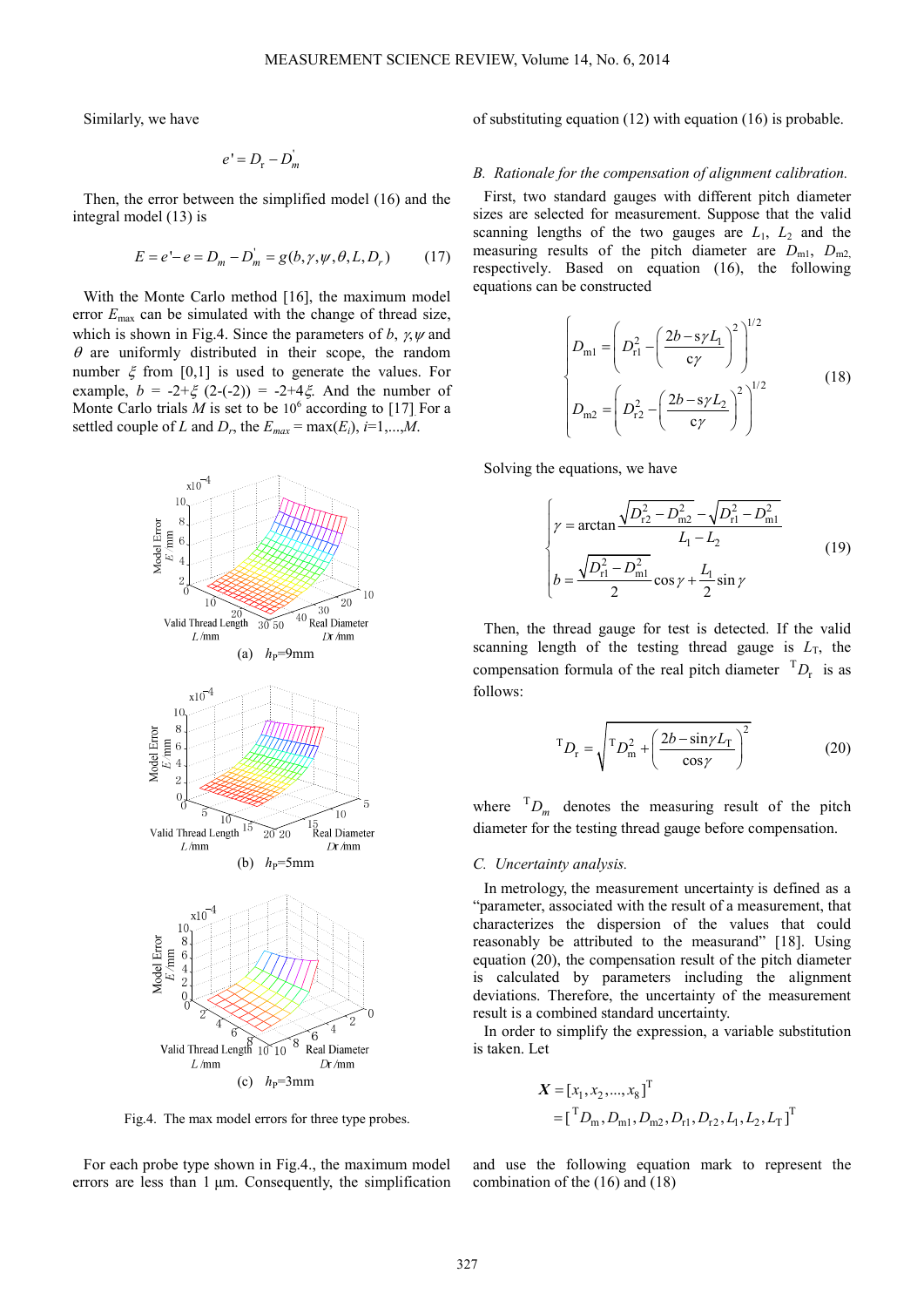Similarly, we have

$$
e' = D_{\rm r} - D_{\rm m}'
$$

Then, the error between the simplified model (16) and the integral model (13) is

$$
E = e' - e = D_m - D'_m = g(b, \gamma, \psi, \theta, L, D_r)
$$
 (17)

With the Monte Carlo method [16], the maximum model error  $E_{\text{max}}$  can be simulated with the change of thread size, which is shown in Fig.4. Since the parameters of *b*,  $\gamma$ ,  $\psi$  and  $\theta$  are uniformly distributed in their scope, the random number  $\xi$  from [0,1] is used to generate the values. For example,  $b = -2 + \xi (2 - (-2)) = -2 + 4\xi$ . And the number of Monte Carlo trials  $M$  is set to be  $10^6$  according to [17] For a settled couple of *L* and  $D_r$ , the  $E_{max} = \max(E_i)$ ,  $i=1,...,M$ .



Fig.4. The max model errors for three type probes.

For each probe type shown in Fig.4., the maximum model errors are less than 1 µm. Consequently, the simplification of substituting equation (12) with equation (16) is probable.

#### *B. Rationale for the compensation of alignment calibration.*

First, two standard gauges with different pitch diameter sizes are selected for measurement. Suppose that the valid scanning lengths of the two gauges are  $L_1$ ,  $L_2$  and the measuring results of the pitch diameter are  $D_{m1}$ ,  $D_{m2}$ respectively. Based on equation (16), the following equations can be constructed

$$
\begin{cases}\nD_{\text{m1}} = \left(D_{\text{r1}}^2 - \left(\frac{2b - s\gamma L_1}{c\gamma}\right)^2\right)^{1/2} \\
D_{\text{m2}} = \left(D_{\text{r2}}^2 - \left(\frac{2b - s\gamma L_2}{c\gamma}\right)^2\right)^{1/2}\n\end{cases} (18)
$$

Solving the equations, we have

$$
\begin{cases}\n\gamma = \arctan \frac{\sqrt{D_{r2}^2 - D_{m2}^2} - \sqrt{D_{r1}^2 - D_{m1}^2}}{L_1 - L_2} \\
b = \frac{\sqrt{D_{r1}^2 - D_{m1}^2}}{2} \cos \gamma + \frac{L_1}{2} \sin \gamma\n\end{cases}
$$
\n(19)

Then, the thread gauge for test is detected. If the valid scanning length of the testing thread gauge is  $L_T$ , the compensation formula of the real pitch diameter  ${}^{T}D_{r}$  is as follows:

$$
{}^{T}D_{r} = \sqrt{I^{T}D_{m}^{2} + \left(\frac{2b - \sin\gamma L_{T}}{\cos\gamma}\right)^{2}}
$$
 (20)

where  ${}^{T}D_{m}$  denotes the measuring result of the pitch diameter for the testing thread gauge before compensation.

#### *C. Uncertainty analysis.*

In metrology, the measurement uncertainty is defined as a "parameter, associated with the result of a measurement, that characterizes the dispersion of the values that could reasonably be attributed to the measurand" [18]. Using equation (20), the compensation result of the pitch diameter is calculated by parameters including the alignment deviations. Therefore, the uncertainty of the measurement result is a combined standard uncertainty.

In order to simplify the expression, a variable substitution is taken. Let

$$
X = [x_1, x_2, ..., x_8]^T
$$
  
=  $\begin{bmatrix} ^T D_m, D_{m1}, D_{m2}, D_{r1}, D_{r2}, L_1, L_2, L_T \end{bmatrix}^T$ 

and use the following equation mark to represent the combination of the (16) and (18)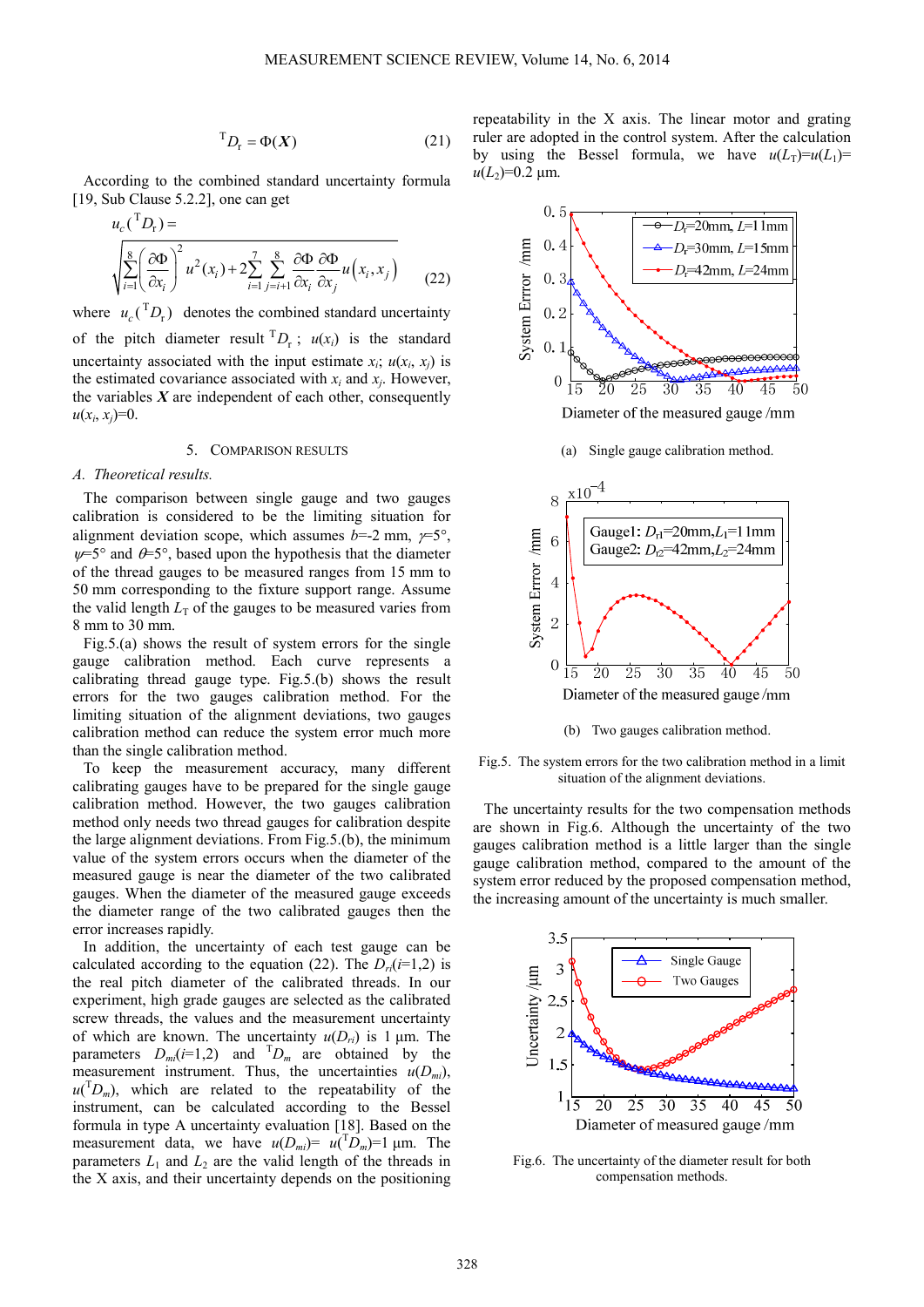$$
{}^{T}D_{r} = \Phi(X) \tag{21}
$$

According to the combined standard uncertainty formula [19, Sub Clause 5.2.2], one can get

$$
u_c \left(\begin{array}{c} T_{D_r} \end{array}\right) = \sqrt{\sum_{i=1}^8 \left(\frac{\partial \Phi}{\partial x_i}\right)^2 u^2(x_i) + 2 \sum_{i=1}^7 \sum_{j=i+1}^8 \frac{\partial \Phi}{\partial x_i} \frac{\partial \Phi}{\partial x_j} u(x_i, x_j)}
$$
(22)

where  $u_c$ <sup>T</sup> $D_r$ ) denotes the combined standard uncertainty of the pitch diameter result  $^{T}D_r$ ;  $u(x_i)$  is the standard uncertainty associated with the input estimate  $x_i$ ;  $u(x_i, x_j)$  is the estimated covariance associated with  $x_i$  and  $x_j$ . However, the variables  $X$  are independent of each other, consequently  $u(x_i, x_j)=0.$ 

# 5. COMPARISON RESULTS

# *A. Theoretical results.*

The comparison between single gauge and two gauges calibration is considered to be the limiting situation for alignment deviation scope, which assumes  $b=-2$  mm,  $\gamma=5^{\circ}$ ,  $\psi$ =5° and  $\theta$ =5°, based upon the hypothesis that the diameter of the thread gauges to be measured ranges from 15 mm to 50 mm corresponding to the fixture support range. Assume the valid length  $L<sub>T</sub>$  of the gauges to be measured varies from 8 mm to 30 mm.

Fig.5.(a) shows the result of system errors for the single gauge calibration method. Each curve represents a calibrating thread gauge type. Fig.5.(b) shows the result errors for the two gauges calibration method. For the limiting situation of the alignment deviations, two gauges calibration method can reduce the system error much more than the single calibration method.

To keep the measurement accuracy, many different calibrating gauges have to be prepared for the single gauge calibration method. However, the two gauges calibration method only needs two thread gauges for calibration despite the large alignment deviations. From Fig.5.(b), the minimum value of the system errors occurs when the diameter of the measured gauge is near the diameter of the two calibrated gauges. When the diameter of the measured gauge exceeds the diameter range of the two calibrated gauges then the error increases rapidly.

In addition, the uncertainty of each test gauge can be calculated according to the equation (22). The  $D_r(i=1,2)$  is the real pitch diameter of the calibrated threads. In our experiment, high grade gauges are selected as the calibrated screw threads, the values and the measurement uncertainty of which are known. The uncertainty  $u(D_{ri})$  is 1  $\mu$ m. The parameters  $D_{mi}(i=1,2)$  and  ${}^{T}D_{m}$  are obtained by the measurement instrument. Thus, the uncertainties  $u(D_{mi})$ ,  $u(TD_m)$ , which are related to the repeatability of the instrument, can be calculated according to the Bessel formula in type A uncertainty evaluation [18]. Based on the measurement data, we have  $u(D_m) = u(T_D) = 1$  µm. The parameters  $L_1$  and  $L_2$  are the valid length of the threads in the X axis, and their uncertainty depends on the positioning





Fig.5. The system errors for the two calibration method in a limit situation of the alignment deviations.

The uncertainty results for the two compensation methods are shown in Fig.6. Although the uncertainty of the two gauges calibration method is a little larger than the single gauge calibration method, compared to the amount of the system error reduced by the proposed compensation method, the increasing amount of the uncertainty is much smaller.



Fig.6. The uncertainty of the diameter result for both compensation methods.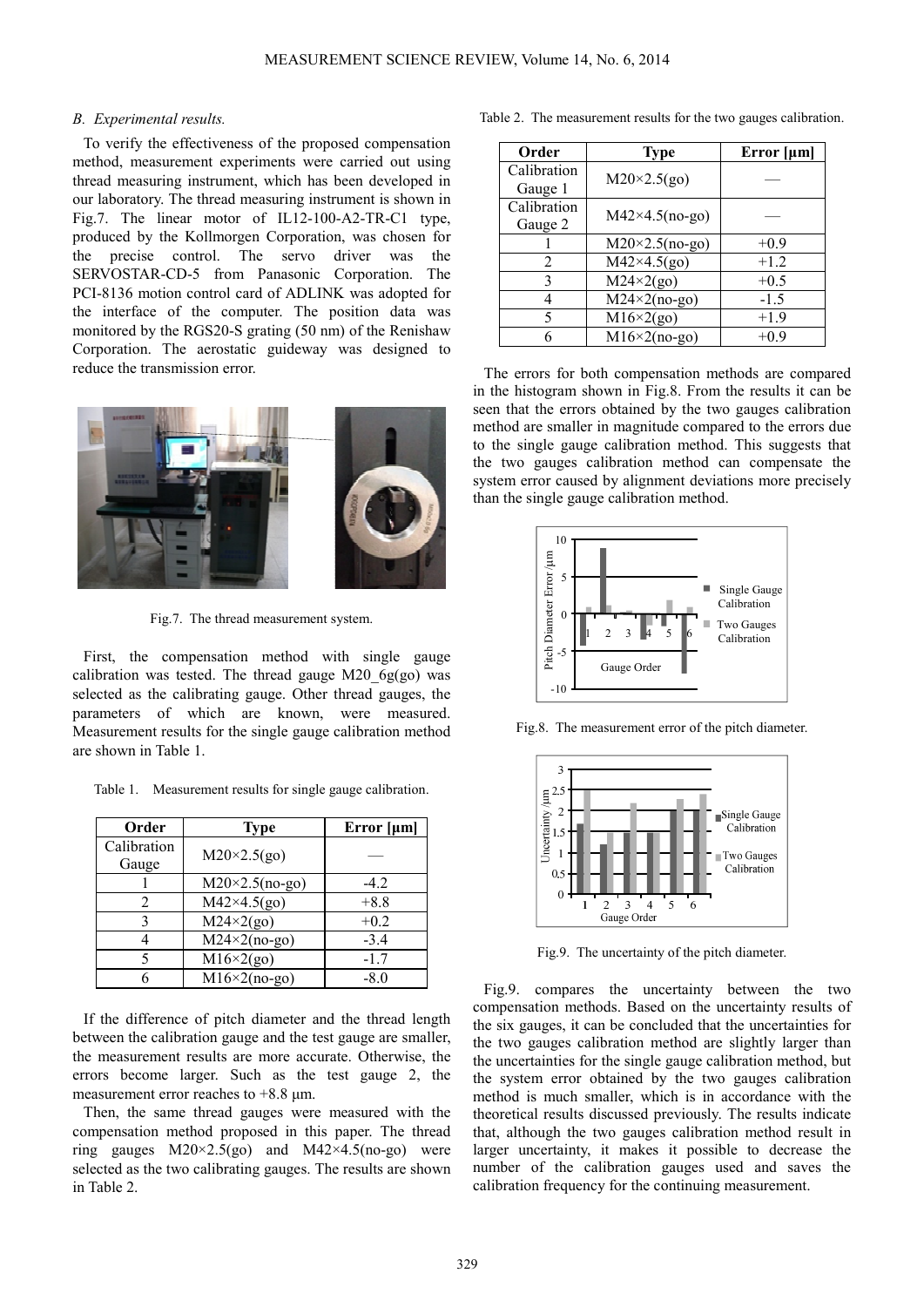#### *B. Experimental results.*

To verify the effectiveness of the proposed compensation method, measurement experiments were carried out using thread measuring instrument, which has been developed in our laboratory. The thread measuring instrument is shown in Fig.7. The linear motor of IL12-100-A2-TR-C1 type, produced by the Kollmorgen Corporation, was chosen for the precise control. The servo driver was the SERVOSTAR-CD-5 from Panasonic Corporation. The PCI-8136 motion control card of ADLINK was adopted for the interface of the computer. The position data was monitored by the RGS20-S grating (50 nm) of the Renishaw Corporation. The aerostatic guideway was designed to reduce the transmission error.



Fig.7. The thread measurement system.

First, the compensation method with single gauge calibration was tested. The thread gauge M20  $6g(go)$  was selected as the calibrating gauge. Other thread gauges, the parameters of which are known, were measured. Measurement results for the single gauge calibration method are shown in Table 1.

Table 1. Measurement results for single gauge calibration.

| Order       | <b>Type</b>            | Error $[\mu m]$ |
|-------------|------------------------|-----------------|
| Calibration | $M20\times2.5(go)$     |                 |
| Gauge       |                        |                 |
|             | $M20\times2.5$ (no-go) | $-4.2$          |
|             | $M42\times4.5(go)$     | $+8.8$          |
| 3           | $M24\times2(go)$       | $+0.2$          |
|             | $M24\times2(no-go)$    | $-3.4$          |
|             | $M16\times2(go)$       | $-1.7$          |
|             | $M16\times2(no-go)$    | $-8.0$          |

If the difference of pitch diameter and the thread length between the calibration gauge and the test gauge are smaller, the measurement results are more accurate. Otherwise, the errors become larger. Such as the test gauge 2, the measurement error reaches to +8.8 µm.

Then, the same thread gauges were measured with the compensation method proposed in this paper. The thread ring gauges  $M20 \times 2.5$ (go) and  $M42 \times 4.5$ (no-go) were selected as the two calibrating gauges. The results are shown in Table 2.

Table 2. The measurement results for the two gauges calibration.

| Order                  | <b>Type</b>                               | Error $[\mu m]$ |
|------------------------|-------------------------------------------|-----------------|
| Calibration<br>Gauge 1 | $M20\times2.5(go)$                        |                 |
| Calibration<br>Gauge 2 | $M42\times4.5$ (no-go)                    |                 |
|                        | $M20\times2.5$ (no-go)                    | $+0.9$          |
| 2                      | $M42\times4.5(go)$                        | $+1.2$          |
| 3                      | $\overline{\text{M24}\times2(\text{go})}$ | $+0.5$          |
|                        | $M24\times2(no-go)$                       | $-1.5$          |
| 5                      | $M16\times2(go)$                          | $+1.9$          |
|                        | $M16\times2(no-go)$                       | $+0.9$          |

The errors for both compensation methods are compared in the histogram shown in Fig.8. From the results it can be seen that the errors obtained by the two gauges calibration method are smaller in magnitude compared to the errors due to the single gauge calibration method. This suggests that the two gauges calibration method can compensate the system error caused by alignment deviations more precisely than the single gauge calibration method.



Fig.8. The measurement error of the pitch diameter.



Fig.9. The uncertainty of the pitch diameter.

Fig.9. compares the uncertainty between the two compensation methods. Based on the uncertainty results of the six gauges, it can be concluded that the uncertainties for the two gauges calibration method are slightly larger than the uncertainties for the single gauge calibration method, but the system error obtained by the two gauges calibration method is much smaller, which is in accordance with the theoretical results discussed previously. The results indicate that, although the two gauges calibration method result in larger uncertainty, it makes it possible to decrease the number of the calibration gauges used and saves the calibration frequency for the continuing measurement.